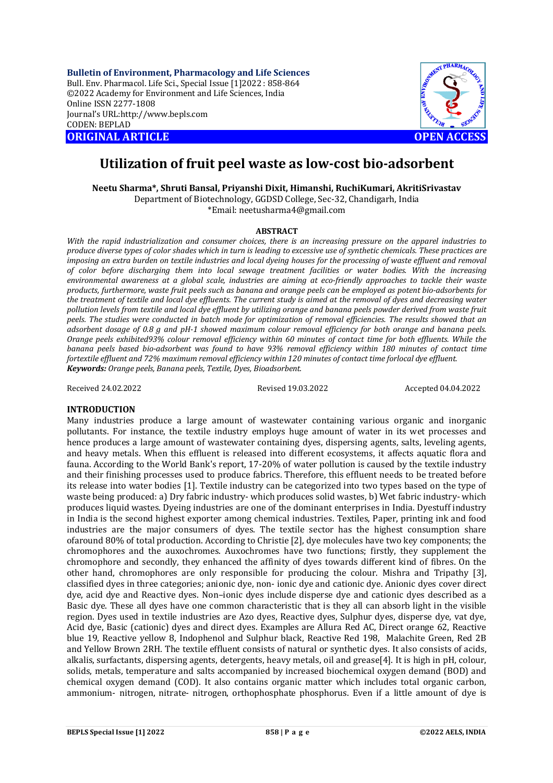**Bulletin of Environment, Pharmacology and Life Sciences** Bull. Env. Pharmacol. Life Sci., Special Issue [1]2022 : 858-864 ©2022 Academy for Environment and Life Sciences, India Online ISSN 2277-1808 Journal's URL:<http://www.bepls.com> CODEN: BEPLAD **ORIGINAL ARTICLE OPEN ACCESS** 



# **Utilization of fruit peel waste as low-cost bio-adsorbent**

**Neetu Sharma\*, Shruti Bansal, Priyanshi Dixit, Himanshi, RuchiKumari, AkritiSrivastav** Department of Biotechnology, GGDSD College, Sec-32, Chandigarh, India

\*Email: [neetusharma4@gmail.com](mailto:neetusharma4@gmail.com)

## **ABSTRACT**

*With the rapid industrialization and consumer choices, there is an increasing pressure on the apparel industries to produce diverse types of color shades which in turn is leading to excessive use of synthetic chemicals. These practices are imposing an extra burden on textile industries and local dyeing houses for the processing of waste effluent and removal of color before discharging them into local sewage treatment facilities or water bodies. With the increasing environmental awareness at a global scale, industries are aiming at eco-friendly approaches to tackle their waste products, furthermore, waste fruit peels such as banana and orange peels can be employed as potent bio-adsorbents for the treatment of textile and local dye effluents. The current study is aimed at the removal of dyes and decreasing water pollution levels from textile and local dye effluent by utilizing orange and banana peels powder derived from waste fruit peels. The studies were conducted in batch mode for optimization of removal efficiencies. The results showed that an adsorbent dosage of 0.8 g and pH-1 showed maximum colour removal efficiency for both orange and banana peels. Orange peels exhibited93% colour removal efficiency within 60 minutes of contact time for both effluents. While the banana peels based bio-adsorbent was found to have 93% removal efficiency within 180 minutes of contact time fortextile effluent and 72% maximum removal efficiency within 120 minutes of contact time forlocal dye effluent. Keywords: Orange peels, Banana peels, Textile, Dyes, Bioadsorbent.*

Received 24.02.2022 Revised 19.03.2022 Accepted 04.04.2022

## **INTRODUCTION**

Many industries produce a large amount of wastewater containing various organic and inorganic pollutants. For instance, the textile industry employs huge amount of water in its wet processes and hence produces a large amount of wastewater containing dyes, dispersing agents, salts, leveling agents, and heavy metals. When this effluent is released into different ecosystems, it affects aquatic flora and fauna. According to the World Bank's report, 17-20% of water pollution is caused by the textile industry and their finishing processes used to produce fabrics. Therefore, this effluent needs to be treated before its release into water bodies [1]. Textile industry can be categorized into two types based on the type of waste being produced: a) Dry fabric industry- which produces solid wastes, b) Wet fabric industry- which produces liquid wastes. Dyeing industries are one of the dominant enterprises in India. Dyestuff industry in India is the second highest exporter among chemical industries. Textiles, Paper, printing ink and food industries are the major consumers of dyes. The textile sector has the highest consumption share ofaround 80% of total production. According to Christie [2], dye molecules have two key components; the chromophores and the auxochromes. Auxochromes have two functions; firstly, they supplement the chromophore and secondly, they enhanced the affinity of dyes towards different kind of fibres. On the other hand, chromophores are only responsible for producing the colour. Mishra and Tripathy [3], classified dyes in three categories; anionic dye, non- ionic dye and cationic dye. Anionic dyes cover direct dye, acid dye and Reactive dyes. Non–ionic dyes include disperse dye and cationic dyes described as a Basic dye. These all dyes have one common characteristic that is they all can absorb light in the visible region. Dyes used in textile industries are Azo dyes, Reactive dyes, Sulphur dyes, disperse dye, vat dye, Acid dye, Basic (cationic) dyes and direct dyes. Examples are Allura Red AC, Direct orange 62, Reactive blue 19, Reactive yellow 8, Indophenol and Sulphur black, Reactive Red 198, Malachite Green, Red 2B and Yellow Brown 2RH. The textile effluent consists of natural or synthetic dyes. It also consists of acids, alkalis, surfactants, dispersing agents, detergents, heavy metals, oil and grease[4]. It is high in pH, colour, solids, metals, temperature and salts accompanied by increased biochemical oxygen demand (BOD) and chemical oxygen demand (COD). It also contains organic matter which includes total organic carbon, ammonium- nitrogen, nitrate- nitrogen, orthophosphate phosphorus. Even if a little amount of dye is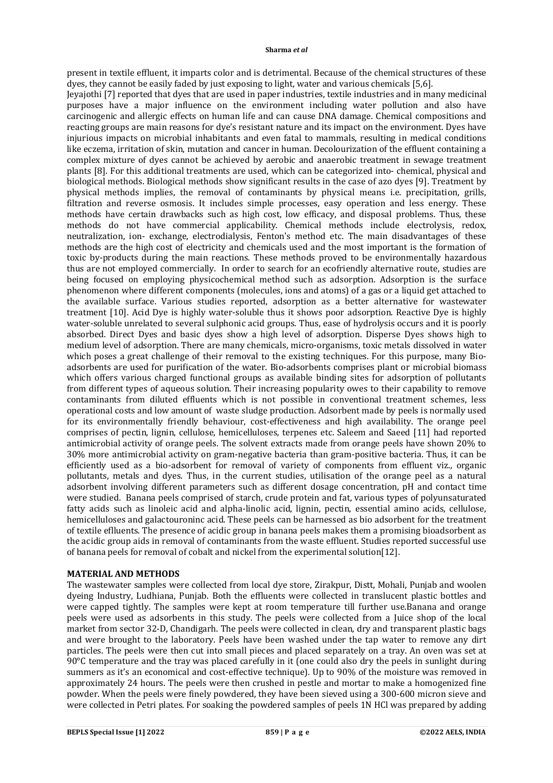present in textile effluent, it imparts color and is detrimental. Because of the chemical structures of these dyes, they cannot be easily faded by just exposing to light, water and various chemicals [5,6].

Jeyajothi [7] reported that dyes that are used in paper industries, textile industries and in many medicinal purposes have a major influence on the environment including water pollution and also have carcinogenic and allergic effects on human life and can cause DNA damage. Chemical compositions and reacting groups are main reasons for dye's resistant nature and its impact on the environment. Dyes have injurious impacts on microbial inhabitants and even fatal to mammals, resulting in medical conditions like eczema, irritation of skin, mutation and cancer in human. Decolourization of the effluent containing a complex mixture of dyes cannot be achieved by aerobic and anaerobic treatment in sewage treatment plants [8]. For this additional treatments are used, which can be categorized into- chemical, physical and biological methods. Biological methods show significant results in the case of azo dyes [9]. Treatment by physical methods implies, the removal of contaminants by physical means i.e. precipitation, grills, filtration and reverse osmosis. It includes simple processes, easy operation and less energy. These methods have certain drawbacks such as high cost, low efficacy, and disposal problems. Thus, these methods do not have commercial applicability. Chemical methods include electrolysis, redox, neutralization, ion- exchange, electrodialysis, Fenton's method etc. The main disadvantages of these methods are the high cost of electricity and chemicals used and the most important is the formation of toxic by-products during the main reactions. These methods proved to be environmentally hazardous thus are not employed commercially. In order to search for an ecofriendly alternative route, studies are being focused on employing physicochemical method such as adsorption. Adsorption is the surface phenomenon where different components (molecules, ions and atoms) of a gas or a liquid get attached to the available surface. Various studies reported, adsorption as a better alternative for wastewater treatment [10]. Acid Dye is highly water-soluble thus it shows poor adsorption. Reactive Dye is highly water-soluble unrelated to several sulphonic acid groups. Thus, ease of hydrolysis occurs and it is poorly absorbed. Direct Dyes and basic dyes show a high level of adsorption. Disperse Dyes shows high to medium level of adsorption. There are many chemicals, micro-organisms, toxic metals dissolved in water which poses a great challenge of their removal to the existing techniques. For this purpose, many Bioadsorbents are used for purification of the water. Bio-adsorbents comprises plant or microbial biomass which offers various charged functional groups as available binding sites for adsorption of pollutants from different types of aqueous solution. Their increasing popularity owes to their capability to remove contaminants from diluted effluents which is not possible in conventional treatment schemes, less operational costs and low amount of waste sludge production. Adsorbent made by peels is normally used for its environmentally friendly behaviour, cost-effectiveness and high availability. The orange peel comprises of pectin, lignin, cellulose, hemicelluloses, terpenes etc. Saleem and Saeed [11] had reported antimicrobial activity of orange peels. The solvent extracts made from orange peels have shown 20% to 30% more antimicrobial activity on gram-negative bacteria than gram-positive bacteria. Thus, it can be efficiently used as a bio-adsorbent for removal of variety of components from effluent viz., organic pollutants, metals and dyes. Thus, in the current studies, utilisation of the orange peel as a natural adsorbent involving different parameters such as different dosage concentration, pH and contact time were studied. Banana peels comprised of starch, crude protein and fat, various types of polyunsaturated fatty acids such as linoleic acid and alpha-linolic acid, lignin, pectin, essential amino acids, cellulose, hemicelluloses and galactouroninc acid. These peels can be harnessed as bio adsorbent for the treatment of textile eflluents. The presence of acidic group in banana peels makes them a promising bioadsorbent as the acidic group aids in removal of contaminants from the waste effluent. Studies reported successful use of banana peels for removal of cobalt and nickel from the experimental solution[12].

## **MATERIAL AND METHODS**

The wastewater samples were collected from local dye store, Zirakpur, Distt, Mohali, Punjab and woolen dyeing Industry, Ludhiana, Punjab. Both the effluents were collected in translucent plastic bottles and were capped tightly. The samples were kept at room temperature till further use.Banana and orange peels were used as adsorbents in this study. The peels were collected from a Juice shop of the local market from sector 32-D, Chandigarh. The peels were collected in clean, dry and transparent plastic bags and were brought to the laboratory. Peels have been washed under the tap water to remove any dirt particles. The peels were then cut into small pieces and placed separately on a tray. An oven was set at  $90^{\circ}$ C temperature and the tray was placed carefully in it (one could also dry the peels in sunlight during summers as it's an economical and cost-effective technique). Up to 90% of the moisture was removed in approximately 24 hours. The peels were then crushed in pestle and mortar to make a homogenized fine powder. When the peels were finely powdered, they have been sieved using a 300-600 micron sieve and were collected in Petri plates. For soaking the powdered samples of peels 1N HCl was prepared by adding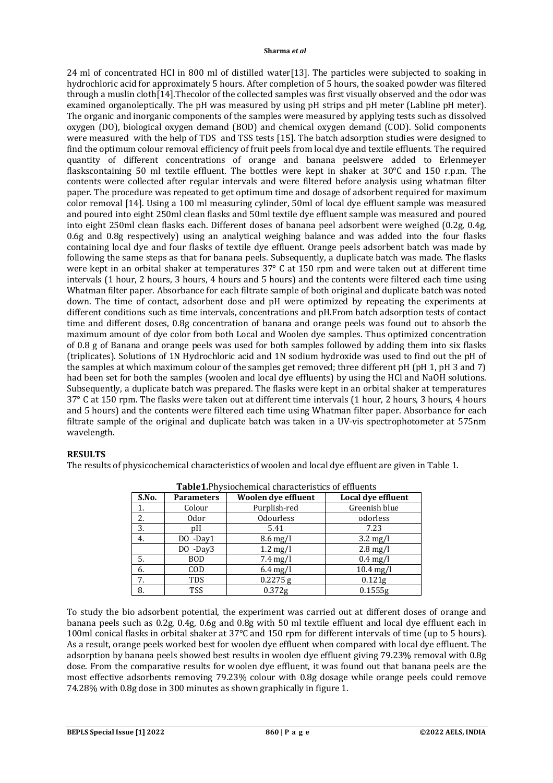24 ml of concentrated HCl in 800 ml of distilled water[13]. The particles were subjected to soaking in hydrochloric acid for approximately 5 hours. After completion of 5 hours, the soaked powder was filtered through a muslin cloth[14].Thecolor of the collected samples was first visually observed and the odor was examined organoleptically. The pH was measured by using pH strips and pH meter (Labline pH meter). The organic and inorganic components of the samples were measured by applying tests such as dissolved oxygen (DO), biological oxygen demand (BOD) and chemical oxygen demand (COD). Solid components were measured with the help of TDS and TSS tests [15]. The batch adsorption studies were designed to find the optimum colour removal efficiency of fruit peels from local dye and textile effluents. The required quantity of different concentrations of orange and banana peelswere added to Erlenmeyer flaskscontaining 50 ml textile effluent. The bottles were kept in shaker at 30°C and 150 r.p.m. The contents were collected after regular intervals and were filtered before analysis using whatman filter paper. The procedure was repeated to get optimum time and dosage of adsorbent required for maximum color removal [14]. Using a 100 ml measuring cylinder, 50ml of local dye effluent sample was measured and poured into eight 250ml clean flasks and 50ml textile dye effluent sample was measured and poured into eight 250ml clean flasks each. Different doses of banana peel adsorbent were weighed (0.2g, 0.4g, 0.6g and 0.8g respectively) using an analytical weighing balance and was added into the four flasks containing local dye and four flasks of textile dye effluent. Orange peels adsorbent batch was made by following the same steps as that for banana peels. Subsequently, a duplicate batch was made. The flasks were kept in an orbital shaker at temperatures 37° C at 150 rpm and were taken out at different time intervals (1 hour, 2 hours, 3 hours, 4 hours and 5 hours) and the contents were filtered each time using Whatman filter paper. Absorbance for each filtrate sample of both original and duplicate batch was noted down. The time of contact, adsorbent dose and pH were optimized by repeating the experiments at different conditions such as time intervals, concentrations and pH.From batch adsorption tests of contact time and different doses, 0.8g concentration of banana and orange peels was found out to absorb the maximum amount of dye color from both Local and Woolen dye samples. Thus optimized concentration of 0.8 g of Banana and orange peels was used for both samples followed by adding them into six flasks (triplicates). Solutions of 1N Hydrochloric acid and 1N sodium hydroxide was used to find out the pH of the samples at which maximum colour of the samples get removed; three different pH (pH 1, pH 3 and 7) had been set for both the samples (woolen and local dye effluents) by using the HCl and NaOH solutions. Subsequently, a duplicate batch was prepared. The flasks were kept in an orbital shaker at temperatures 37° C at 150 rpm. The flasks were taken out at different time intervals (1 hour, 2 hours, 3 hours, 4 hours and 5 hours) and the contents were filtered each time using Whatman filter paper. Absorbance for each filtrate sample of the original and duplicate batch was taken in a UV-vis spectrophotometer at 575nm wavelength.

## **RESULTS**

The results of physicochemical characteristics of woolen and local dye effluent are given in Table 1.

| S.No. | <b>Parameters</b> | <b>Woolen dye effluent</b> | Local dye effluent |
|-------|-------------------|----------------------------|--------------------|
| 1.    | Colour            | Purplish-red               | Greenish blue      |
| 2.    | <b>Odor</b>       | <b>Odourless</b>           | odorless           |
| 3.    | pΗ                | 5.41                       | 7.23               |
| 4.    | $DO$ -Day1        | $8.6 \text{ mg/l}$         | $3.2 \text{ mg/l}$ |
|       | $DO$ -Day3        | $1.2 \text{ mg/l}$         | $2.8 \text{ mg/l}$ |
| 5.    | <b>BOD</b>        | $7.4 \text{ mg/l}$         | $0.4$ mg/l         |
| 6.    | COD               | $6.4$ mg/l                 | $10.4$ mg/l        |
| 7.    | <b>TDS</b>        | $0.2275$ g                 | 0.121 <sub>g</sub> |
| 8.    | <b>TSS</b>        | 0.372g                     | 0.1555g            |

**Table1.**Physiochemical characteristics of effluents

To study the bio adsorbent potential, the experiment was carried out at different doses of orange and banana peels such as 0.2g, 0.4g, 0.6g and 0.8g with 50 ml textile effluent and local dye effluent each in 100ml conical flasks in orbital shaker at 37℃ and 150 rpm for different intervals of time (up to 5 hours). As a result, orange peels worked best for woolen dye effluent when compared with local dye effluent. The adsorption by banana peels showed best results in woolen dye effluent giving 79.23% removal with 0.8g dose. From the comparative results for woolen dye effluent, it was found out that banana peels are the most effective adsorbents removing 79.23% colour with 0.8g dosage while orange peels could remove 74.28% with 0.8g dose in 300 minutes as shown graphically in figure 1.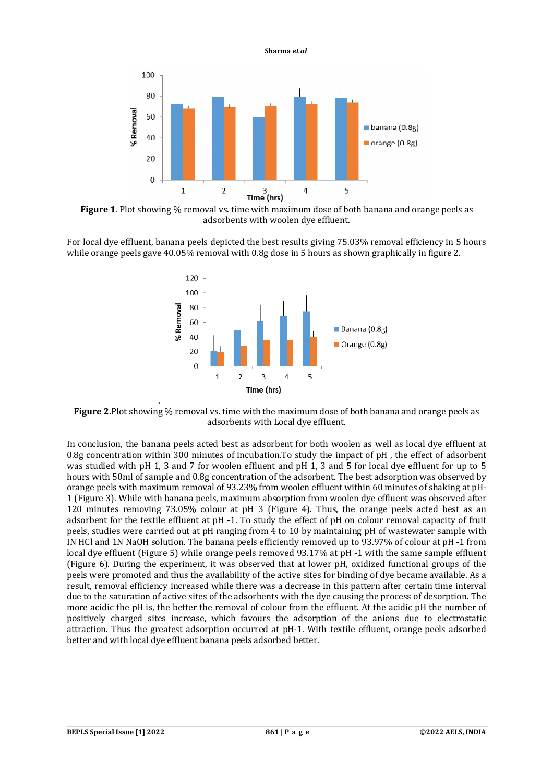

**Figure 1**. Plot showing % removal vs. time with maximum dose of both banana and orange peels as adsorbents with woolen dye effluent.

For local dye effluent, banana peels depicted the best results giving 75.03% removal efficiency in 5 hours while orange peels gave 40.05% removal with 0.8g dose in 5 hours as shown graphically in figure 2.



**Figure 2.**Plot showing % removal vs. time with the maximum dose of both banana and orange peels as adsorbents with Local dye effluent.

In conclusion, the banana peels acted best as adsorbent for both woolen as well as local dye effluent at 0.8g concentration within 300 minutes of incubation.To study the impact of pH , the effect of adsorbent was studied with pH 1, 3 and 7 for woolen effluent and pH 1, 3 and 5 for local dye effluent for up to 5 hours with 50ml of sample and 0.8g concentration of the adsorbent. The best adsorption was observed by orange peels with maximum removal of 93.23% from woolen effluent within 60 minutes of shaking at pH-1 (Figure 3). While with banana peels, maximum absorption from woolen dye effluent was observed after 120 minutes removing 73.05% colour at pH 3 (Figure 4). Thus, the orange peels acted best as an adsorbent for the textile effluent at pH -1. To study the effect of pH on colour removal capacity of fruit peels, studies were carried out at pH ranging from 4 to 10 by maintaining pH of wastewater sample with IN HCl and 1N NaOH solution. The banana peels efficiently removed up to 93.97% of colour at pH -1 from local dye effluent (Figure 5) while orange peels removed 93.17% at pH -1 with the same sample effluent (Figure 6). During the experiment, it was observed that at lower pH, oxidized functional groups of the peels were promoted and thus the availability of the active sites for binding of dye became available. As a result, removal efficiency increased while there was a decrease in this pattern after certain time interval due to the saturation of active sites of the adsorbents with the dye causing the process of desorption. The more acidic the pH is, the better the removal of colour from the effluent. At the acidic pH the number of positively charged sites increase, which favours the adsorption of the anions due to electrostatic attraction. Thus the greatest adsorption occurred at pH-1. With textile effluent, orange peels adsorbed better and with local dye effluent banana peels adsorbed better.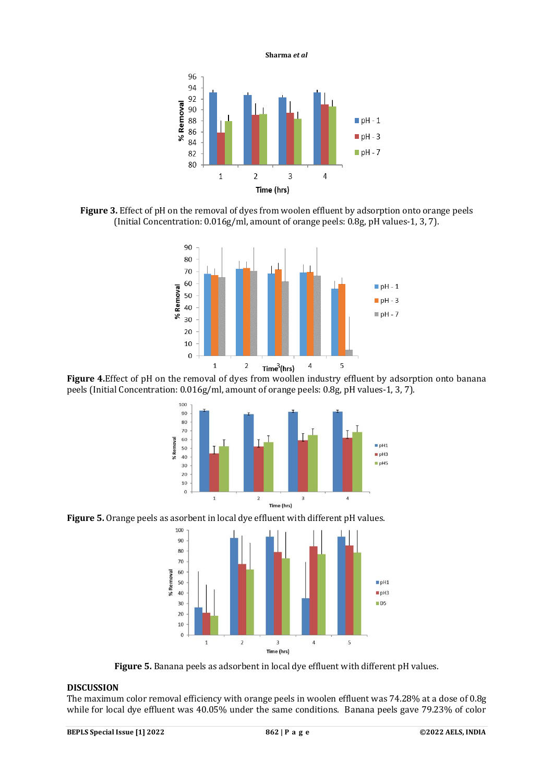96 94 92 % Removal 90 88  $\blacksquare$  pH - 1 86  $\n **ph - 3**\n$ 84  $\blacksquare$  pH - 7 82 80  $\overline{2}$  $\mathsf 3$  $\overline{1}$  $\sqrt{4}$ Time (hrs)

**Sharma** *et al*

**Figure 3.** Effect of pH on the removal of dyes from woolen effluent by adsorption onto orange peels (Initial Concentration: 0.016g/ml, amount of orange peels: 0.8g, pH values-1, 3, 7).



**Figure 4.**Effect of pH on the removal of dyes from woollen industry effluent by adsorption onto banana peels (Initial Concentration: 0.016g/ml, amount of orange peels: 0.8g, pH values-1, 3, 7).



**Figure 5.** Orange peels as asorbent in local dye effluent with different pH values.



**Figure 5.** Banana peels as adsorbent in local dye effluent with different pH values.

# **DISCUSSION**

The maximum color removal efficiency with orange peels in woolen effluent was 74.28% at a dose of 0.8g while for local dye effluent was 40.05% under the same conditions. Banana peels gave 79.23% of color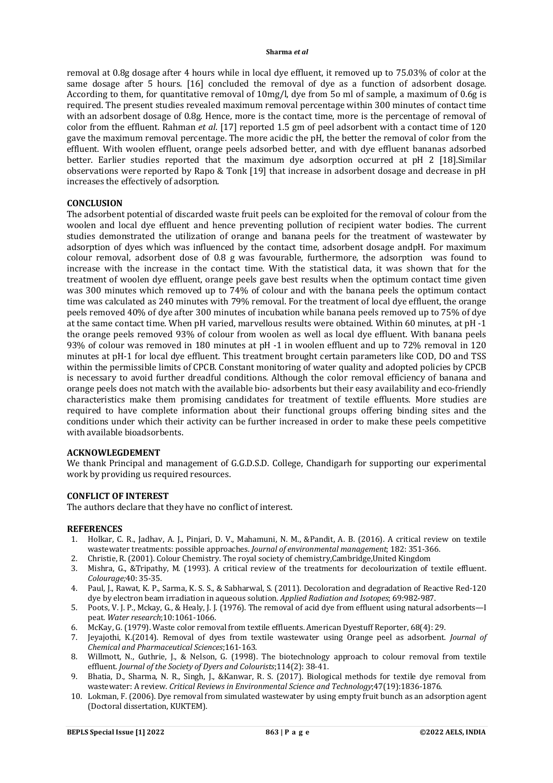removal at 0.8g dosage after 4 hours while in local dye effluent, it removed up to 75.03% of color at the same dosage after 5 hours. [16] concluded the removal of dye as a function of adsorbent dosage. According to them, for quantitative removal of 10mg/l, dye from 5o ml of sample, a maximum of 0.6g is required. The present studies revealed maximum removal percentage within 300 minutes of contact time with an adsorbent dosage of 0.8g. Hence, more is the contact time, more is the percentage of removal of color from the effluent. Rahman *et al*. [17] reported 1.5 gm of peel adsorbent with a contact time of 120 gave the maximum removal percentage. The more acidic the pH, the better the removal of color from the effluent. With woolen effluent, orange peels adsorbed better, and with dye effluent bananas adsorbed better. Earlier studies reported that the maximum dye adsorption occurred at pH 2 [18].Similar observations were reported by Rapo & Tonk [19] that increase in adsorbent dosage and decrease in pH increases the effectively of adsorption.

### **CONCLUSION**

The adsorbent potential of discarded waste fruit peels can be exploited for the removal of colour from the woolen and local dye effluent and hence preventing pollution of recipient water bodies. The current studies demonstrated the utilization of orange and banana peels for the treatment of wastewater by adsorption of dyes which was influenced by the contact time, adsorbent dosage andpH. For maximum colour removal, adsorbent dose of 0.8 g was favourable, furthermore, the adsorption was found to increase with the increase in the contact time. With the statistical data, it was shown that for the treatment of woolen dye effluent, orange peels gave best results when the optimum contact time given was 300 minutes which removed up to 74% of colour and with the banana peels the optimum contact time was calculated as 240 minutes with 79% removal. For the treatment of local dye effluent, the orange peels removed 40% of dye after 300 minutes of incubation while banana peels removed up to 75% of dye at the same contact time. When pH varied, marvellous results were obtained. Within 60 minutes, at pH -1 the orange peels removed 93% of colour from woolen as well as local dye effluent. With banana peels 93% of colour was removed in 180 minutes at pH -1 in woolen effluent and up to 72% removal in 120 minutes at pH-1 for local dye effluent. This treatment brought certain parameters like COD, DO and TSS within the permissible limits of CPCB. Constant monitoring of water quality and adopted policies by CPCB is necessary to avoid further dreadful conditions. Although the color removal efficiency of banana and orange peels does not match with the available bio- adsorbents but their easy availability and eco-friendly characteristics make them promising candidates for treatment of textile effluents. More studies are required to have complete information about their functional groups offering binding sites and the conditions under which their activity can be further increased in order to make these peels competitive with available bioadsorbents.

## **ACKNOWLEGDEMENT**

We thank Principal and management of G.G.D.S.D. College, Chandigarh for supporting our experimental work by providing us required resources.

## **CONFLICT OF INTEREST**

The authors declare that they have no conflict of interest.

## **REFERENCES**

- 1. Holkar, C. R., Jadhav, A. J., Pinjari, D. V., Mahamuni, N. M., &Pandit, A. B. (2016). A critical review on textile wastewater treatments: possible approaches. *Journal of environmental management*; 182: 351-366.
- 2. Christie, R. (2001). Colour Chemistry. The royal society of chemistry,Cambridge,United Kingdom
- 3. Mishra, G., &Tripathy, M. (1993). A critical review of the treatments for decolourization of textile effluent. *Colourage;*40: 35-35.
- 4. Paul, J., Rawat, K. P., Sarma, K. S. S., & Sabharwal, S. (2011). Decoloration and degradation of Reactive Red-120 dye by electron beam irradiation in aqueous solution. *Applied Radiation and Isotopes*; 69:982-987.
- 5. Poots, V. J. P., Mckay, G., & Healy, J. J. (1976). The removal of acid dye from effluent using natural adsorbents—I peat. *Water research*;10:1061-1066.
- 6. McKay, G. (1979). Waste color removal from textile effluents. American Dyestuff Reporter, 68(4): 29.
- 7. Jeyajothi, K.(2014). Removal of dyes from textile wastewater using Orange peel as adsorbent. *Journal of Chemical and Pharmaceutical Sciences*;161-163.
- 8. Willmott, N., Guthrie, J., & Nelson, G. (1998). The biotechnology approach to colour removal from textile effluent. *Journal of the Society of Dyers and Colourists*;114(2): 38-41.
- Bhatia, D., Sharma, N. R., Singh, J., &Kanwar, R. S. (2017). Biological methods for textile dye removal from wastewater: A review. *Critical Reviews in Environmental Science and Technology*;47(19):1836-1876.
- 10. Lokman, F. (2006). Dye removal from simulated wastewater by using empty fruit bunch as an adsorption agent (Doctoral dissertation, KUKTEM).